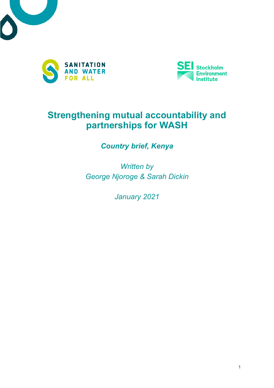





# **Strengthening mutual accountability and partnerships for WASH**

*Country brief, Kenya*

*Written by George Njoroge & Sarah Dickin*

*January 2021*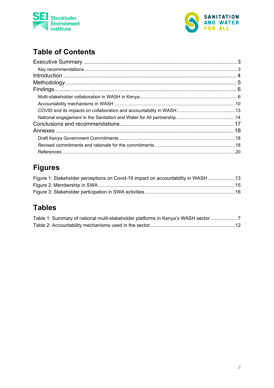



# **Table of Contents**

# **Figures**

| Figure 1: Stakeholder perceptions on Covid-19 impact on accountability in WASH  13 |  |
|------------------------------------------------------------------------------------|--|
|                                                                                    |  |
|                                                                                    |  |

# **Tables**

| Table 1: Summary of national multi-stakeholder platforms in Kenya's WASH sector 7 |  |
|-----------------------------------------------------------------------------------|--|
|                                                                                   |  |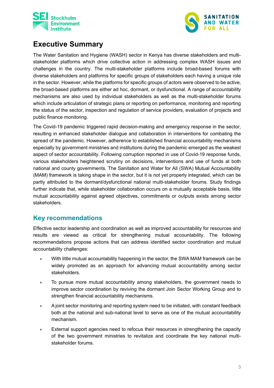



# <span id="page-2-0"></span>**Executive Summary**

The Water Sanitation and Hygiene (WASH) sector in Kenya has diverse stakeholders and multistakeholder platforms which drive collective action in addressing complex WASH issues and challenges in the country. The multi-stakeholder platforms include broad-based forums with diverse stakeholders and platforms for specific groups of stakeholders each having a unique role in the sector. However, while the platforms for specific groups of actors were observed to be active, the broad-based platforms are either ad hoc, dormant, or dysfunctional. A range of accountability mechanisms are also used by individual stakeholders as well as the multi-stakeholder forums which include articulation of strategic plans or reporting on performance, monitoring and reporting the status of the sector, inspection and regulation of service providers, evaluation of projects and public finance monitoring.

The Covid-19 pandemic triggered rapid decision-making and emergency response in the sector, resulting in enhanced stakeholder dialogue and collaboration in interventions for combating the spread of the pandemic. However, adherence to established financial accountability mechanisms especially by government ministries and institutions during the pandemic emerged as the weakest aspect of sector accountability. Following corruption reported in use of Covid-19 response funds, various stakeholders heightened scrutiny on decisions, interventions and use of funds at both national and county governments. The Sanitation and Water for All (SWA) Mutual Accountability (MAM) framework is taking shape in the sector, but it is not yet properly integrated, which can be partly attributed to the dormant/dysfunctional national multi-stakeholder forums. Study findings further indicate that, while stakeholder collaboration occurs on a mutually acceptable basis, little mutual accountability against agreed objectives, commitments or outputs exists among sector stakeholders.

### <span id="page-2-1"></span>**Key recommendations**

Effective sector leadership and coordination as well as improved accountability for resources and results are viewed as critical for strengthening mutual accountability. The following recommendations propose actions that can address identified sector coordination and mutual accountability challenges:

- With little mutual accountability happening in the sector, the SWA MAM framework can be widely promoted as an approach for advancing mutual accountability among sector stakeholders.
- To pursue more mutual accountability among stakeholders, the government needs to improve sector coordination by reviving the dormant Join Sector Working Group and to strengthen financial accountability mechanisms.
- A joint sector monitoring and reporting system need to be initiated, with constant feedback both at the national and sub-national level to serve as one of the mutual accountability mechanism.
- External support agencies need to refocus their resources in strengthening the capacity of the two government ministries to revitalize and coordinate the key national multistakeholder forums.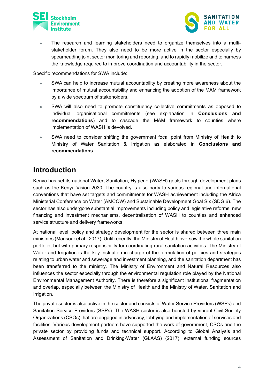



The research and learning stakeholders need to organize themselves into a multistakeholder forum. They also need to be more active in the sector especially by spearheading joint sector monitoring and reporting, and to rapidly mobilize and to harness the knowledge required to improve coordination and accountability in the sector.

Specific recommendations for SWA include:

- SWA can help to increase mutual accountability by creating more awareness about the importance of mutual accountability and enhancing the adoption of the MAM framework by a wide spectrum of stakeholders.
- SWA will also need to promote constituency collective commitments as opposed to individual organisational commitments (see explanation in **[Conclusions and](#page-16-0)  [recommendations](#page-16-0)**) and to cascade the MAM framework to counties where implementation of WASH is devolved.
- SWA need to consider shifting the government focal point from Ministry of Health to Ministry of Water Sanitation & Irrigation as elaborated in **[Conclusions and](#page-16-0)  [recommendations](#page-16-0)**.

## <span id="page-3-0"></span>**Introduction**

Kenya has set its national Water, Sanitation, Hygiene (WASH) goals through development plans such as the Kenya Vision 2030. The country is also party to various regional and international conventions that have set targets and commitments for WASH achievement including the Africa Ministerial Conference on Water (AMCOW) and Sustainable Development Goal Six (SDG 6). The sector has also undergone substantial improvements including policy and legislative reforms, new financing and investment mechanisms, decentralisation of WASH to counties and enhanced service structure and delivery frameworks.

At national level, policy and strategy development for the sector is shared between three main ministries (Mansour et al., 2017). Until recently, the Ministry of Health oversaw the whole sanitation portfolio, but with primary responsibility for coordinating rural sanitation activities. The Ministry of Water and Irrigation is the key institution in charge of the formulation of policies and strategies relating to urban water and sewerage and investment planning, and the sanitation department has been transferred to the ministry. The Ministry of Environment and Natural Resources also influences the sector especially through the environmental regulation role played by the National Environmental Management Authority. There is therefore a significant institutional fragmentation and overlap, especially between the Ministry of Health and the Ministry of Water, Sanitation and Irrigation.

The private sector is also active in the sector and consists of Water Service Providers (WSPs) and Sanitation Service Providers (SSPs). The WASH sector is also boosted by vibrant Civil Society Organizations (CSOs) that are engaged in advocacy, lobbying and implementation of services and facilities. Various development partners have supported the work of government, CSOs and the private sector by providing funds and technical support. According to Global Analysis and Assessment of Sanitation and Drinking-Water (GLAAS) (2017), external funding sources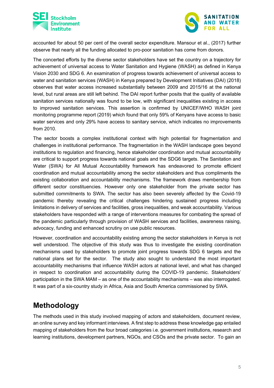



accounted for about 50 per cent of the overall sector expenditure. Mansour et al., (2017) further observe that nearly all the funding allocated to pro-poor sanitation has come from donors.

The concerted efforts by the diverse sector stakeholders have set the country on a trajectory for achievement of universal access to Water Sanitation and Hygiene (WASH) as defined in Kenya Vision 2030 and SDG 6. An examination of progress towards achievement of universal access to water and sanitation services (WASH) in Kenya prepared by Development Initiatives (DAI) (2018) observes that water access increased substantially between 2009 and 2015/16 at the national level, but rural areas are still left behind. The DAI report further posits that the quality of available sanitation services nationally was found to be low, with significant inequalities existing in access to improved sanitation services. This assertion is confirmed by UNICEF/WHO WASH joint monitoring programme report (2019) which found that only 59% of Kenyans have access to basic water services and only 29% have access to sanitary service, which indicates no improvements from 2010.

The sector boosts a complex institutional context with high potential for fragmentation and challenges in institutional performance. The fragmentation in the WASH landscape goes beyond institutions to regulation and financing, hence stakeholder coordination and mutual accountability are critical to support progress towards national goals and the SDG6 targets. The Sanitation and Water (SWA) for All Mutual Accountability framework has endeavored to promote efficient coordination and mutual accountability among the sector stakeholders and thus compliments the existing collaboration and accountability mechanisms. The framework draws membership from different sector constituencies. However only one stakeholder from the private sector has submitted commitments to SWA. The sector has also been severely affected by the Covid-19 pandemic thereby revealing the critical challenges hindering sustained progress including limitations in delivery of services and facilities, gross inequalities, and weak accountability. Various stakeholders have responded with a range of interventions measures for combating the spread of the pandemic particularly through provision of WASH services and facilities, awareness raising, advocacy, funding and enhanced scrutiny on use public resources.

However, coordination and accountability existing among the sector stakeholders in Kenya is not well understood. The objective of this study was thus to investigate the existing coordination mechanisms used by stakeholders to promote joint progress towards SDG 6 targets and the national plans set for the sector. The study also sought to understand the most important accountability mechanisms that influence WASH actors at national level, and what has changed in respect to coordination and accountability during the COVID-19 pandemic. Stakeholders' participation in the SWA MAM – as one of the accountability mechanisms – was also interrogated. It was part of a six-country study in Africa, Asia and South America commissioned by SWA.

# <span id="page-4-0"></span>**Methodology**

The methods used in this study involved mapping of actors and stakeholders, document review, an online survey and key informant interviews. A first step to address these knowledge gap entailed mapping of stakeholders from the four broad categories i.e. government institutions, research and learning institutions, development partners, NGOs, and CSOs and the private sector. To gain an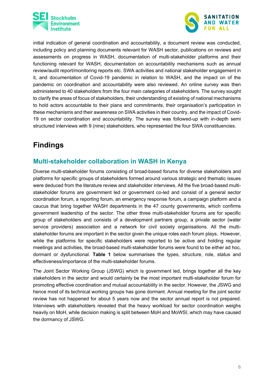



initial indication of general coordination and accountability, a document review was conducted, including policy and planning documents relevant for WASH sector, publications on reviews and assessments on progress in WASH, documentation of multi-stakeholder platforms and their functioning relevant for WASH, documentation on accountability mechanisms such as annual review/audit report/monitoring reports etc. SWA activities and national stakeholder engagement in it, and documentation of Covid-19 pandemic in relation to WASH, and the impact on of the pandemic on coordination and accountability were also reviewed. An online survey was then administered to 40 stakeholders from the four main categories of stakeholders. The survey sought to clarify the areas of focus of stakeholders, their understanding of existing of national mechanisms to hold actors accountable to their plans and commitments, their organisation's participation in these mechanisms and their awareness on SWA activities in their country, and the impact of Covid-19 on sector coordination and accountability. The survey was followed-up with in-depth semi structured interviews with 9 (nine) stakeholders, who represented the four SWA constituencies.

# <span id="page-5-0"></span>**Findings**

### <span id="page-5-1"></span>**Multi-stakeholder collaboration in WASH in Kenya**

Diverse multi-stakeholder forums consisting of broad-based forums for diverse stakeholders and platforms for specific groups of stakeholders formed around various strategic and thematic issues were deduced from the literature review and stakeholder interviews. All the five broad-based multistakeholder forums are government led or government co-led and consist of a general sector coordination forum, a reporting forum, an emergency response forum, a campaign platform and a caucus that bring together WASH departments in the 47 county governments, which confirms government leadership of the sector. The other three multi-stakeholder forums are for specific group of stakeholders and consists of a development partners group, a private sector (water service providers) association and a network for civil society organisations. All the multistakeholder forums are important in the sector given the unique roles each forum plays. However, while the platforms for specific stakeholders were reported to be active and holding regular meetings and activities, the broad-based multi-stakeholder forums were found to be either ad hoc, dormant or dysfunctional. **[Table 1](#page-6-0)** below summarises the types, structure, role, status and effectiveness/importance of the multi-stakeholder forums.

The Joint Sector Working Group (JSWG) which is government led, brings together all the key stakeholders in the sector and would certainly be the most important multi-stakeholder forum for promoting effective coordination and mutual accountability in the sector. However, the JSWG and hence most of its technical working groups has gone dormant. Annual meeting for the joint sector review has not happened for about 5 years now and the sector annual report is not prepared. Interviews with stakeholders revealed that the heavy workload for sector coordination weighs heavily on MoH, while decision making is split between MoH and MoWSI, which may have caused the dormancy of JSWG.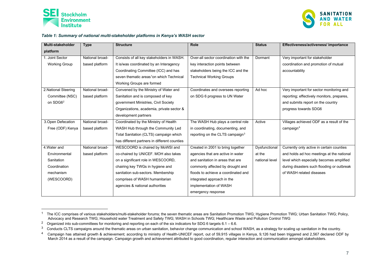

<span id="page-6-4"></span><span id="page-6-3"></span><span id="page-6-2"></span><span id="page-6-1"></span>

#### *Table 1: Summary of national multi-stakeholder platforms in Kenya's WASH sector*

| Multi-stakeholder    | <b>Type</b>     | <b>Structure</b>                                     | <b>Role</b>                                 | <b>Status</b>  | Effectiveness/activeness/ importance       |
|----------------------|-----------------|------------------------------------------------------|---------------------------------------------|----------------|--------------------------------------------|
| platform             |                 |                                                      |                                             |                |                                            |
| Joint Sector         | National broad- | Consists of all key stakeholders in WASH.            | Over-all sector coordination with the       | Dormant        | Very important for stakeholder             |
| <b>Working Group</b> | based platform  | It is/was coordinated by an Interagency              | key interaction points between              |                | coordination and promotion of mutual       |
|                      |                 | Coordinating Committee (ICC) and has                 | stakeholders being the ICC and the          |                | accountability                             |
|                      |                 | seven thematic areas <sup>1</sup> on which Technical | <b>Technical Working Groups</b>             |                |                                            |
|                      |                 | Working Groups are formed                            |                                             |                |                                            |
| 2. National Steering | National broad- | Convened by the Ministry of Water and                | Coordinates and oversees reporting          | Ad hoc         | Very important for sector monitoring and   |
| Committee (NSC)      | based platform  | Sanitation and is composed of key                    | on SDG 6 progress to UN Water               |                | reporting; effectively monitors, prepares, |
| on SDG6 <sup>2</sup> |                 | government Ministries, Civil Society                 |                                             |                | and submits report on the country          |
|                      |                 | Organizations, academia, private sector &            |                                             |                | progress towards SDG6                      |
|                      |                 | development partners                                 |                                             |                |                                            |
| 3. Open Defecation   | National broad- | Coordinated by the Ministry of Health                | The WASH Hub plays a central role           | Active         | Villages achieved ODF as a result of the   |
| Free (ODF) Kenya     | based platform  | WASH Hub through the Community Led                   | in coordinating, documenting, and           |                | campaign $4$                               |
|                      |                 | Total Sanitation (CLTS) campaign which               | reporting on the CLTS campaign <sup>3</sup> |                |                                            |
|                      |                 | has different partners in different counties         |                                             |                |                                            |
| 4. Water and         | National broad- | WESCOORD is chaired by MoWSI and                     | Created in 2001 to bring together           | Dysfunctional  | Currently only active in certain counties  |
| Environmental        | based platform  | co-chaired by UNICEF. MOH also takes                 | agencies that are active in water           | at the         | and holds ad hoc meetings at the national  |
| Sanitation           |                 | on a significant role in WESCOORD,                   | and sanitation in areas that are            | national level | level which especially becomes amplified   |
| Coordination         |                 | chairing key TWGs in hygiene and                     | commonly affected by drought and            |                | during disasters such flooding or outbreak |
| mechanism            |                 | sanitation sub-sectors. Membership                   | floods to achieve a coordinated and         |                | of WASH related diseases                   |
| (WESCOORD)           |                 | comprises of WASH humanitarian                       | integrated approach in the                  |                |                                            |
|                      |                 | agencies & national authorities                      | implementation of WASH                      |                |                                            |
|                      |                 |                                                      | emergency response                          |                |                                            |

<span id="page-6-0"></span><sup>&</sup>lt;sup>1</sup> The ICC comprises of various stakeholders/multi-stakeholder forums; the seven thematic areas are Sanitation Promotion TWG; Hygiene Promotion TWG; Urban Sanitation TWG; Policy, Advocacy and Research TWG; Household water Treatment and Safety TWG; WASH in Schools TWG; Healthcare Waste and Pollution Control TWG

<sup>&</sup>lt;sup>2</sup> Organized into sub-committees for monitoring and reporting on each of the six indicators for SDG 6 targets 6.1 – 6.6.<br><sup>3</sup> Conducts CLTS campaigns around the thematic areas on urban sanitation, behavior change communic

Conducts CLTS campaigns around the thematic areas on urban sanitation, behavior change communication and school WASH, as a strategy for scaling up sanitation in the country.

<sup>&</sup>lt;sup>4</sup> Campaign has attained growth & achievement; according to ministry of Health-UNICEF report, out of 59,915 villages in Kenya, 9,126 had been triggered and 2,567 declared ODF by March 2014 as a result of the campaign. Campaign growth and achievement attributed to good coordination, regular interaction and communication amongst stakeholders.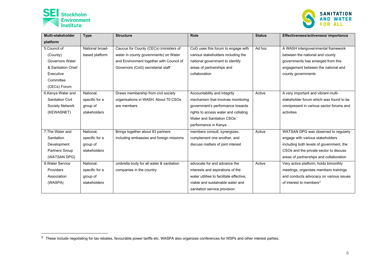

<span id="page-7-0"></span>

| Multi-stakeholder       | <b>Type</b>     | <b>Structure</b>                         | Role                                     | <b>Status</b> | Effectiveness/activeness/ importance           |
|-------------------------|-----------------|------------------------------------------|------------------------------------------|---------------|------------------------------------------------|
| platform                |                 |                                          |                                          |               |                                                |
| 5. Council of           | National broad- | Caucus for County (CECs) (ministers of   | CoG uses this forum to engage with       | Ad hoc        | A WASH intergovernmental framework             |
| (County)                | based platform  | water in county governments) on Water    | various stakeholders including the       |               | between the national and county                |
| Governors Water         |                 | and Environment together with Council of | national government to identify          |               | governments has emerged from this              |
| & Sanitation Chief      |                 | Governors (CoG) secretariat staff        | areas of partnerships and                |               | engagement between the national and            |
| Executive               |                 |                                          | collaboration                            |               | county governments                             |
| Committee               |                 |                                          |                                          |               |                                                |
| (CECs) Forum            |                 |                                          |                                          |               |                                                |
| 6.Kenya Water and       | National,       | Draws membership from civil society      | Accountability and integrity             | Active        | A very important and vibrant multi-            |
| <b>Sanitation Civil</b> | specific for a  | organisations in WASH. About 70 CSOs     | mechanism that involves monitoring       |               | stakeholder forum which was found to be        |
| Society Network         | group of        | are members                              | government's performance towards         |               | omnipresent in various sector forums and       |
| (KEWASNET)              | stakeholders    |                                          | rights to access water and collating     |               | activities                                     |
|                         |                 |                                          | Water and Sanitation CSOs'               |               |                                                |
|                         |                 |                                          | performance in Kenya                     |               |                                                |
| 7. The Water and        | National,       | Brings together about 83 partners        | members consult, synergizes,             | Active        | WATSAN DPG was observed to regularly           |
| Sanitation              | specific for a  | including embassies and foreign missions | complement one another, and              |               | engage with various stakeholders               |
| Development             | group of        |                                          | discuss matters of joint interest        |               | including both levels of government, the       |
| Partners Group          | stakeholders    |                                          |                                          |               | CSOs and the private sector to discuss         |
| (WATSAN DPG)            |                 |                                          |                                          |               | areas of <i>partnerships</i> and collaboration |
| 8. Water Service        | National,       | umbrella body for all water & sanitation | advocate for and advance the             | Active        | Very active platform; holds bimonthly          |
| Providers               | specific for a  | companies in the country                 | interests and aspirations of the         |               | meetings, organises members trainings          |
| Association             | group of        |                                          | water utilities to facilitate effective, |               | and conducts advocacy on various issues        |
| (WASPA)                 | stakeholders    |                                          | viable and sustainable water and         |               | of interest to members <sup>5</sup>            |
|                         |                 |                                          | sanitation service provision             |               |                                                |

<sup>5</sup> These include negotiating for tax rebates, favourable power tariffs etc. WASPA also organizes conferences for WSPs and other interest parties.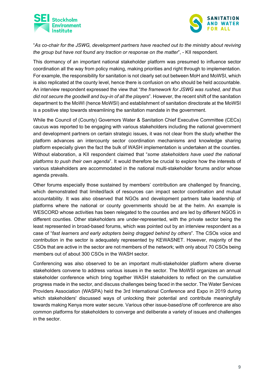



"*As co-chair for the JSWG, development partners have reached out to the ministry about reviving the group but have not found any traction or response on the matter*", - KII respondent.

This dormancy of an important national stakeholder platform was presumed to influence sector coordination all the way from policy making, making priorities and right through to implementation. For example, the responsibility for sanitation is not clearly set out between MoH and MoWSI, which is also replicated at the county level, hence there is confusion on who should be held accountable. An interview respondent expressed the view that "*the framework for JSWG was rushed, and thus did not secure the goodwill and buy-in of all the players*". However, the recent shift of the sanitation department to the MoWI (hence MoWSI) and establishment of sanitation directorate at the MoWSI is a positive step towards streamlining the sanitation mandate in the government.

While the Council of (County) Governors Water & Sanitation Chief Executive Committee (CECs) caucus was reported to be engaging with various stakeholders including the national government and development partners on certain strategic issues, it was not clear from the study whether the platform advances an intercounty sector coordination mechanisms and knowledge sharing platform especially given the fact the bulk of WASH implementation is undertaken at the counties. Without elaboration, a KII respondent claimed that "*some stakeholders have used the national platforms to push their own agenda*". It would therefore be crucial to explore how the interests of various stakeholders are accommodated in the national multi-stakeholder forums and/or whose agenda prevails.

Other forums especially those sustained by members' contribution are challenged by financing, which demonstrated that limited/lack of resources can impact sector coordination and mutual accountability. It was also observed that NGOs and development partners take leadership of platforms where the national or county governments should be at the helm. An example is WESCORD whose activities has been relegated to the counties and are led by different NGOS in different counties. Other stakeholders are under-represented, with the private sector being the least represented in broad-based forums, which was pointed out by an interview respondent as a case of "*fast learners and early adopters being dragged behind by others*". The CSOs voice and contribution in the sector is adequately represented by KEWASNET. However, majority of the CSOs that are active in the sector are not members of the network; with only about 70 CSOs being members out of about 300 CSOs in the WASH sector.

Conferencing was also observed to be an important multi-stakeholder platform where diverse stakeholders convene to address various issues in the sector. The MoWSI organizes an annual stakeholder conference which bring together WASH stakeholders to reflect on the cumulative progress made in the sector, and discuss challenges being faced in the sector. The Water Services Providers Association (WASPA) held the 3rd International Conference and Expo in 2019 during which stakeholders' discussed ways of unlocking their potential and contribute meaningfully towards making Kenya more water secure. Various other issue-based/one off conference are also common platforms for stakeholders to converge and deliberate a variety of issues and challenges in the sector.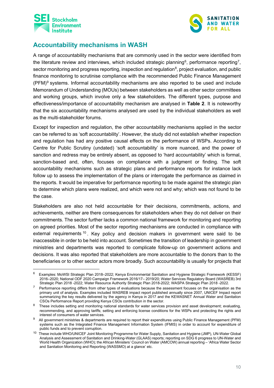



## <span id="page-9-0"></span>**Accountability mechanisms in WASH**

A range of accountability mechanisms that are commonly used in the sector were identified from the literature review and interviews, which included strategic planning<sup>6</sup>, performance reporting<sup>7</sup>, sector monitoring and progress reporting, inspection and regulation<sup>8</sup>, project evaluation, and public finance monitoring to scrutinise compliance with the recommended Public Finance Management (PFM)[9](#page-9-4) systems. Informal accountability mechanisms are also reported to be used and include Memorandum of Understanding (MOUs) between stakeholders as well as other sector committees and working groups, which involve only a few stakeholders. The different types, purpose and effectiveness/importance of accountability mechanism are analysed in **[Table 2](#page-11-0)**. It is noteworthy that the six accountability mechanisms analysed are used by the individual stakeholders as well as the multi-stakeholder forums.

Except for inspection and regulation, the other accountability mechanisms applied in the sector can be referred to as 'soft accountability'. However, the study did not establish whether inspection and regulation has had any positive causal effects on the performance of WSPs. According to Centre for Public Scrutiny (undated) 'soft accountability' is more nuanced, and the power of sanction and redress may be entirely absent, as opposed to 'hard accountability' which is formal, sanction-based and, often, focuses on compliance with a judgment or finding. The soft accountability mechanisms such as strategic plans and performance reports for instance lack follow up to assess the implementation of the plans or interrogate the performance as claimed in the reports. It would be imperative for performance reporting to be made against the strategic plan to determine which plans were realized, and which were not and why; which was not found to be the case.

Stakeholders are also not held accountable for their decisions, commitments, actions, and achievements, neither are there consequences for stakeholders when they do not deliver on their commitments. The sector further lacks a common national framework for monitoring and reporting on agreed priorities. Most of the sector reporting mechanisms are conducted in compliance with external requirements  $10$ . Key policy and decision makers in government were said to be inaccessible in order to be held into account. Sometimes the transition of leadership in government ministries and departments was reported to complicate follow-up on government actions and decisions. It was also reported that stakeholders are more accountable to the donors than to the beneficiaries or to other sector actors more broadly. Such accountability is usually for projects that

<span id="page-9-1"></span><sup>6</sup> Examples: MoWSI Strategic Plan 2018–2022; Kenya Environmental Sanitation and Hygiene Strategic Framework (KESSF) 2016–2020; National ODF 2020 Campaign Framework 2016/17– 2019/20; Water Services Regulatory Board (WASREB) 3rd Strategic Plan 2018 -2022; Water Resource Authority Strategic Plan 2018-2022; WASPA Strategic Plan 2018 -2022.

<span id="page-9-2"></span> $7$  Performance reporting differs from other types of evaluations because the assessment focuses on the organisation as the primary unit of analysis. Examples included WASREB impact report published annually since 2007, UNICEF Impact report summarizing the key results delivered by the agency in Kenya in 2017 and the KEWASNET Annual Water and Sanitation CSOs Performance Report providing Kenya CSOs contribution in the sector.

<span id="page-9-3"></span><sup>&</sup>lt;sup>8</sup> These includes setting and monitoring national standards for water services provision and asset development; evaluating, recommending, and approving tariffs; setting and enforcing license conditions for the WSPs and protecting the rights and interest of consumers of water services.

<span id="page-9-4"></span><sup>&</sup>lt;sup>9</sup> All government ministries & departments are required to report their expenditures using Public Finance Management (PFM) systems such as the Integrated Finance Management Information System (IFMIS) in order to account for expenditure of public funds and to prevent corruption.

<span id="page-9-5"></span><sup>10</sup> These include WHO/UNICEF Joint Monitoring Programme for Water Supply, Sanitation and Hygiene (JMP), UN-Water Global Analysis and Assessment of Sanitation and Drinking-Water (GLAAS) reports; reporting on SDG 6 progress to UN-Water and World Health Organization (WHO); the African Ministers' Council on Water (AMCOW) annual reporting – 'Africa Water Sector and Sanitation Monitoring and Reporting (WASSMO) at a glance' etc.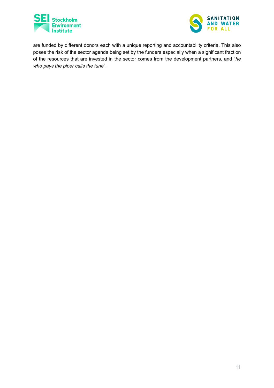



are funded by different donors each with a unique reporting and accountability criteria. This also poses the risk of the sector agenda being set by the funders especially when a significant fraction of the resources that are invested in the sector comes from the development partners, and "*he who pays the piper calls the tune*".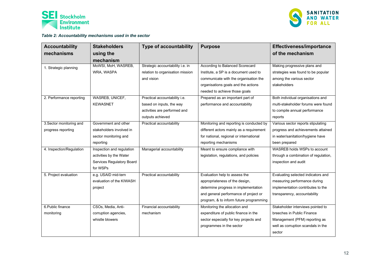



#### *Table 2: Accountability mechanisms used in the sector*

<span id="page-11-0"></span>

| <b>Accountability</b>    | <b>Stakeholders</b>       | <b>Type of accountability</b>    | <b>Purpose</b>                           | Effectiveness/importance             |
|--------------------------|---------------------------|----------------------------------|------------------------------------------|--------------------------------------|
| mechanisms               | using the                 |                                  |                                          | of the mechanism                     |
|                          | mechanism                 |                                  |                                          |                                      |
| 1. Strategic planning    | MoWSI, MoH, WASREB,       | Strategic accountability i.e. in | <b>According to Balanced Scorecard</b>   | Making progressive plans and         |
|                          | WRA, WASPA                | relation to organisation mission | Institute, a SP is a document used to    | strategies was found to be popular   |
|                          |                           | and vision                       | communicate with the organisation the    | among the various sector             |
|                          |                           |                                  | organisations goals and the actions      | stakeholders                         |
|                          |                           |                                  | needed to achieve those goals            |                                      |
| 2. Performance reporting | WASREB, UNICEF,           | Practical accountability i.e.    | Prepared as an important part of         | Both individual organisations and    |
|                          | <b>KEWASNET</b>           | based on inputs, the way         | performance and accountability           | multi-stakeholder forums were found  |
|                          |                           | activities are performed and     |                                          | to compile annual performance        |
|                          |                           | outputs achieved                 |                                          | reports                              |
| 3. Sector monitoring and | Government and other      | Practical accountability         | Monitoring and reporting is conducted by | Various sector reports stipulating   |
| progress reporting       | stakeholders involved in  |                                  | different actors mainly as a requirement | progress and achievements attained   |
|                          | sector monitoring and     |                                  | for national, regional or international  | in water/sanitation/hygiene have     |
|                          | reporting                 |                                  | reporting mechanisms                     | been prepared                        |
| 4. Inspection/Regulation | Inspection and regulation | Managerial accountability        | Meant to ensure compliance with          | WASREB holds WSPs to account         |
|                          | activities by the Water   |                                  | legislation, regulations, and policies   | through a combination of regulation, |
|                          | Services Regulatory Board |                                  |                                          | inspection and audit                 |
|                          | for WSPs                  |                                  |                                          |                                      |
| 5. Project evaluation    | e.g. USAID mid-tern       | Practical accountability         | Evaluation help to assess the            | Evaluating selected indicators and   |
|                          | evaluation of the KIWASH  |                                  | appropriateness of the design,           | measuring performance during         |
|                          | project                   |                                  | determine progress in implementation     | implementation contributes to the    |
|                          |                           |                                  | and general performance of project or    | transparency, accountability         |
|                          |                           |                                  | program, & to inform future programming  |                                      |
| 6. Public finance        | CSOs, Media, Anti-        | Financial accountability         | Monitoring the allocation and            | Stakeholder interviews pointed to    |
| monitoring               | corruption agencies,      | mechanism                        | expenditure of public finance in the     | breeches in Public Finance           |
|                          | whistle blowers           |                                  | sector especially for key projects and   | Management (PFM) reporting as        |
|                          |                           |                                  | programmes in the sector                 | well as corruption scandals in the   |
|                          |                           |                                  |                                          | sector                               |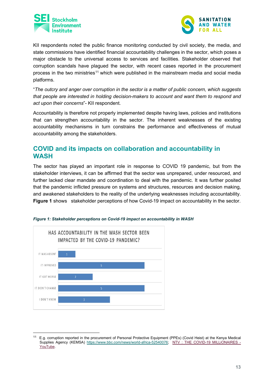



KII respondents noted the public finance monitoring conducted by civil society, the media, and state commissions have identified financial accountability challenges in the sector, which poses a major obstacle to the universal access to services and facilities. Stakeholder observed that corruption scandals have plagued the sector, with recent cases reported in the procurement process in the two ministries<sup>[11](#page-12-2)</sup> which were published in the mainstream media and social media platforms.

"*The outcry and anger over corruption in the sector is a matter of public concern, which suggests that people are interested in holding decision-makers to account and want them to respond and act upon their concerns*"- KII respondent.

Accountability is therefore not properly implemented despite having laws, policies and institutions that can strengthen accountability in the sector. The inherent weaknesses of the existing accountability mechanisms in turn constrains the performance and effectiveness of mutual accountability among the stakeholders.

### <span id="page-12-0"></span>**COVID and its impacts on collaboration and accountability in WASH**

The sector has played an important role in response to COVID 19 pandemic, but from the stakeholder interviews, it can be affirmed that the sector was unprepared, under resourced, and further lacked clear mandate and coordination to deal with the pandemic. It was further posited that the pandemic inflicted pressure on systems and structures, resources and decision making, and awakened stakeholders to the reality of the underlying weaknesses including accountability. **[Figure 1](#page-12-1)** shows stakeholder perceptions of how Covid-19 impact on accountability in the sector.



<span id="page-12-1"></span>

<span id="page-12-2"></span><sup>&</sup>lt;sup>11</sup> E.g. corruption reported in the procurement of Personal Protective Equipment (PPEs) (Covid Heist) at the Kenya Medical Supplies Agency (KEMSA) [https://www.bbc.com/news/world-africa-52540076;](https://www.bbc.com/news/world-africa-52540076) [NTV : THE COVID-19 MILLiONAIRES -](https://www.youtube.com/watch?v=-Mew2yM5JK8) [YouTube.](https://www.youtube.com/watch?v=-Mew2yM5JK8)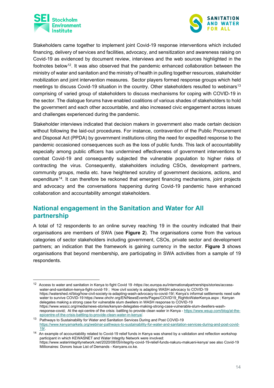



Stakeholders came together to implement joint Covid-19 response interventions which included financing, delivery of services and facilities, advocacy, and sensitization and awareness raising on Covid-19 as evidenced by document review, interviews and the web sources highlighted in the footnotes below<sup>12</sup>. It was also observed that the pandemic enhanced collaboration between the ministry of water and sanitation and the ministry of health in pulling together resources, stakeholder mobilization and joint intervention measures. Sector players formed response groups which held meetings to discuss Covid-19 situation in the country. Other stakeholders resulted to webinars<sup>[13](#page-13-2)</sup> comprising of varied group of stakeholders to discuss mechanisms for coping with COVID-19 in the sector. The dialogue forums have enabled coalitions of various shades of stakeholders to hold the government and each other accountable, and also increased civic engagement across issues and challenges experienced during the pandemic.

Stakeholder interviews indicated that decision makers in government also made certain decision without following the laid-out procedures. For instance, contravention of the Public Procurement and Disposal Act (PPDA) by government institutions citing the need for expedited response to the pandemic occasioned consequences such as the loss of public funds. This lack of accountability especially among public officers has undermined effectiveness of government interventions to combat Covid-19 and consequently subjected the vulnerable population to higher risks of contracting the virus. Consequently, stakeholders including CSOs, development partners, community groups, media etc. have heightened scrutiny of government decisions, actions, and expenditure<sup>[14](#page-13-3)</sup>. It can therefore be reckoned that emergent financing mechanisms, joint projects and advocacy and the conversations happening during Covid-19 pandemic have enhanced collaboration and accountability amongst stakeholders.

### <span id="page-13-0"></span>**National engagement in the Sanitation and Water for All partnership**

A total of 12 respondents to an online survey reaching 19 in the country indicated that their organisations are members of SWA (see **[Figure 2](#page-14-0)**). The organisations come from the various categories of sector stakeholders including government, CSOs, private sector and development partners; an indication that the framework is gaining currency in the sector. **[Figure 3](#page-15-0)** shows organisations that beyond membership, are participating in SWA activities from a sample of 19 respondents.

<span id="page-13-1"></span><sup>12</sup> Access to water and sanitation in Kenya to fight Covid 19 -https://ec.europa.eu/internationalpartnerships/stories/accesswater-and-sanitation-kenya-fight-covid-19 ; How civil society is adapting WASH advocacy to COVID-19 https://watershed.nl/blog/how-civil-society-is-adapting-wash-advocacy-to-covid-19/; Kenya's informal settlements need safe water to survive COVID-19 https://www.ohchr.org/EN/NewsEvents/Pages/COVID19\_RighttoWaterKenya.aspx ; Kenyan delegates making a strong case for vulnerable slum dwellers in WASH response to COVID-19 https://www.wsscc.org/media/news-stories/kenyan-delegates-making-strong-case-vulnerable-slum-dwellers-washresponse-covid; At the epi-centre of the crisis: battling to provide clean water in Kenya - https://www.wsup.com/blog/at-the-epicentre-of-the-crisis-battling-to-provide-clean-water-in-kenya/.

<span id="page-13-2"></span><sup>13</sup> Pathways to Sustainability for Water and Sanitation Services During and Post COVID-19 [https://www.kenyamarkets.org/webinar-pathways-to-sustainability-for-water-and-sanitation-services-during-and-post-covid-](https://www.kenyamarkets.org/webinar-pathways-to-sustainability-for-water-and-sanitation-services-during-and-post-covid-19/)[19/.](https://www.kenyamarkets.org/webinar-pathways-to-sustainability-for-water-and-sanitation-services-during-and-post-covid-19/)

<span id="page-13-3"></span><sup>&</sup>lt;sup>14</sup> An example of accountability related to Covid-19 relief funds in Kenya was shared by a validation and reflection workshop participant in which KEWASNET and Water Integrity Network were involved: https://www.waterintegritynetwork.net/2020/08/05/integrity-covid-19-relief-funds-nakuru-makueni-kenya/ see also Covid-19 Millionaires: Donors Issue List of Demands - Kenyans.co.ke.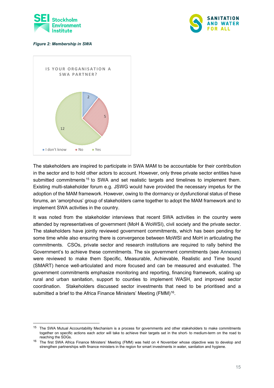



#### <span id="page-14-0"></span>*Figure 2: Membership in SWA*



The stakeholders are inspired to participate in SWA MAM to be accountable for their contribution in the sector and to hold other actors to account. However, only three private sector entities have submitted commitments<sup>[15](#page-14-1)</sup> to SWA and set realistic targets and timelines to implement them. Existing multi-stakeholder forum e.g. JSWG would have provided the necessary impetus for the adoption of the MAM framework. However, owing to the dormancy or dysfunctional status of these forums, an 'amorphous' group of stakeholders came together to adopt the MAM framework and to implement SWA activities in the country.

It was noted from the stakeholder interviews that recent SWA activities in the country were attended by representatives of government (MoH & WoWSI), civil society and the private sector. The stakeholders have jointly reviewed government commitments, which has been pending for some time while also ensuring there is convergence between MoWSI and MoH in articulating the commitments. CSOs, private sector and research institutions are required to rally behind the Government's to achieve these commitments. The six government commitments (see [Annexes\)](#page-17-0) were reviewed to make them Specific, Measurable, Achievable, Realistic and Time bound (SMART) hence well-articulated and more focused and can be measured and evaluated. The government commitments emphasize monitoring and reporting, financing framework, scaling up rural and urban sanitation, support to counties to implement WASH, and improved sector coordination. Stakeholders discussed sector investments that need to be prioritised and a submitted a brief to the Africa Finance Ministers' Meeting (FMM)<sup>[16](#page-14-2)</sup>.

<span id="page-14-1"></span><sup>&</sup>lt;sup>15</sup> The SWA Mutual Accountability Mechanism is a process for governments and other stakeholders to make commitments together on specific actions each actor will take to achieve their targets set in the short- to medium-term on the road to reaching the SDGs.

<span id="page-14-2"></span><sup>&</sup>lt;sup>16</sup> The first SWA Africa Finance Ministers' Meeting (FMM) was held on 4 November whose objective was to develop and strengthen partnerships with finance ministers in the region for smart investments in water, sanitation and hygiene.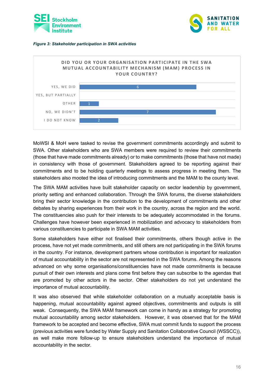



#### <span id="page-15-0"></span>*Figure 3: Stakeholder participation in SWA activities*



MoWSI & MoH were tasked to revise the government commitments accordingly and submit to SWA. Other stakeholders who are SWA members were required to review their commitments (those that have made commitments already) or to make commitments (those that have not made) in consistency with those of government. Stakeholders agreed to be reporting against their commitments and to be holding quarterly meetings to assess progress in meeting them. The stakeholders also mooted the idea of introducing commitments and the MAM to the county level.

The SWA MAM activities have built stakeholder capacity on sector leadership by government, priority setting and enhanced collaboration. Through the SWA forums, the diverse stakeholders bring their sector knowledge in the contribution to the development of commitments and other debates by sharing experiences from their work in the country, across the region and the world. The constituencies also push for their interests to be adequately accommodated in the forums. Challenges have however been experienced in mobilization and advocacy to stakeholders from various constituencies to participate in SWA MAM activities.

Some stakeholders have either not finalised their commitments, others though active in the process, have not yet made commitments, and still others are not participating in the SWA forums in the country. For instance, development partners whose contribution is important for realization of mutual accountability in the sector are not represented in the SWA forums. Among the reasons advanced on why some organisations/constituencies have not made commitments is because pursuit of their own interests and plans come first before they can subscribe to the agendas that are promoted by other actors in the sector. Other stakeholders do not yet understand the importance of mutual accountability.

It was also observed that while stakeholder collaboration on a mutually acceptable basis is happening, mutual accountability against agreed objectives, commitments and outputs is still weak. Consequently, the SWA MAM framework can come in handy as a strategy for promoting mutual accountability among sector stakeholders. However, it was observed that for the MAM framework to be accepted and become effective, SWA must commit funds to support the process (previous activities were funded by Water Supply and Sanitation Collaborative Council (WSSCC)), as well make more follow-up to ensure stakeholders understand the importance of mutual accountability in the sector.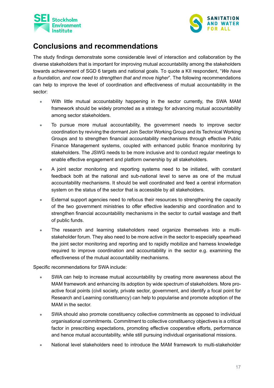



## <span id="page-16-0"></span>**Conclusions and recommendations**

The study findings demonstrate some considerable level of interaction and collaboration by the diverse stakeholders that is important for improving mutual accountability among the stakeholders towards achievement of SGD 6 targets and national goals. To quote a KII respondent, "*We have a foundation, and now need to strengthen that and move higher*". The following recommendations can help to improve the level of coordination and effectiveness of mutual accountability in the sector:

- With little mutual accountability happening in the sector currently, the SWA MAM framework should be widely promoted as a strategy for advancing mutual accountability among sector stakeholders.
- To pursue more mutual accountability, the government needs to improve sector coordination by reviving the dormant Join Sector Working Group and its Technical Working Groups and to strengthen financial accountability mechanisms through effective Public Finance Management systems, coupled with enhanced public finance monitoring by stakeholders. The JSWG needs to be more inclusive and to conduct regular meetings to enable effective engagement and platform ownership by all stakeholders.
- A joint sector monitoring and reporting systems need to be initiated, with constant feedback both at the national and sub-national level to serve as one of the mutual accountability mechanisms. It should be well coordinated and feed a central information system on the status of the sector that is accessible by all stakeholders.
- External support agencies need to refocus their resources to strengthening the capacity of the two government ministries to offer effective leadership and coordination and to strengthen financial accountability mechanisms in the sector to curtail wastage and theft of public funds.
- The research and learning stakeholders need organize themselves into a multistakeholder forum. They also need to be more active in the sector to especially spearhead the joint sector monitoring and reporting and to rapidly mobilize and harness knowledge required to improve coordination and accountability in the sector e.g. examining the effectiveness of the mutual accountability mechanisms.

Specific recommendations for SWA include:

- SWA can help to increase mutual accountability by creating more awareness about the MAM framework and enhancing its adoption by wide spectrum of stakeholders. More proactive focal points (civil society, private sector, government, and identify a focal point for Research and Learning constituency) can help to popularise and promote adoption of the MAM in the sector.
- SWA should also promote constituency collective commitments as opposed to individual organisational commitments. Commitment to collective constituency objectives is a critical factor in prescribing expectations, promoting effective cooperative efforts, performance and hence mutual accountability, while still pursuing individual organisational missions.
- National level stakeholders need to introduce the MAM framework to multi-stakeholder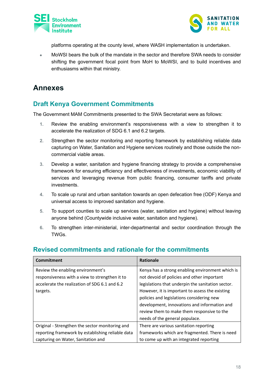



platforms operating at the county level, where WASH implementation is undertaken.

• MoWSI bears the bulk of the mandate in the sector and therefore SWA needs to consider shifting the government focal point from MoH to MoWSI, and to build incentives and enthusiasms within that ministry.

# <span id="page-17-0"></span>**Annexes**

## <span id="page-17-1"></span>**Draft Kenya Government Commitments**

The Government MAM Commitments presented to the SWA Secretariat were as follows:

- **1.** Review the enabling environment's responsiveness with a view to strengthen it to accelerate the realization of SDG 6.1 and 6.2 targets.
- **2.** Strengthen the sector monitoring and reporting framework by establishing reliable data capturing on Water, Sanitation and Hygiene services routinely and those outside the noncommercial viable areas.
- **3.** Develop a water, sanitation and hygiene financing strategy to provide a comprehensive framework for ensuring efficiency and effectiveness of investments, economic viability of services and leveraging revenue from public financing, consumer tariffs and private investments.
- **4.** To scale up rural and urban sanitation towards an open defecation free (ODF) Kenya and universal access to improved sanitation and hygiene.
- **5.** To support counties to scale up services (water, sanitation and hygiene) without leaving anyone behind (Countywide inclusive water, sanitation and hygiene).
- **6.** To strengthen inter-ministerial, inter-departmental and sector coordination through the TWGs.

### <span id="page-17-2"></span>**Revised commitments and rationale for the commitments**

| Commitment                                        | <b>Rationale</b>                                  |
|---------------------------------------------------|---------------------------------------------------|
| Review the enabling environment's                 | Kenya has a strong enabling environment which is  |
| responsiveness with a view to strengthen it to    | not devoid of policies and other important        |
| accelerate the realization of SDG 6.1 and 6.2     | legislations that underpin the sanitation sector. |
| targets.                                          | However, it is important to assess the existing   |
|                                                   | policies and legislations considering new         |
|                                                   | development, innovations and information and      |
|                                                   | review them to make them responsive to the        |
|                                                   | needs of the general populace.                    |
| Original - Strengthen the sector monitoring and   | There are various sanitation reporting            |
| reporting framework by establishing reliable data | frameworks which are fragmented. There is need    |
| capturing on Water, Sanitation and                | to come up with an integrated reporting           |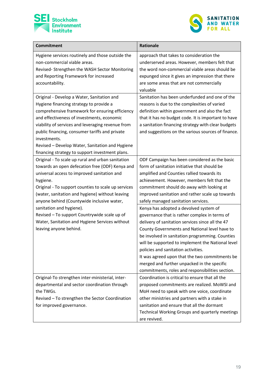



| <b>Commitment</b>                                                                                                                                                                                                                                                                                                                                                                                                                                                               | <b>Rationale</b>                                                                                                                                                                                                                                                                                                                                                                                                                                                                                                                                                                                                                                                                                                                                                                  |
|---------------------------------------------------------------------------------------------------------------------------------------------------------------------------------------------------------------------------------------------------------------------------------------------------------------------------------------------------------------------------------------------------------------------------------------------------------------------------------|-----------------------------------------------------------------------------------------------------------------------------------------------------------------------------------------------------------------------------------------------------------------------------------------------------------------------------------------------------------------------------------------------------------------------------------------------------------------------------------------------------------------------------------------------------------------------------------------------------------------------------------------------------------------------------------------------------------------------------------------------------------------------------------|
| Hygiene services routinely and those outside the<br>non-commercial viable areas.<br>Revised- Strengthen the WASH Sector Monitoring<br>and Reporting Framework for increased<br>accountability.                                                                                                                                                                                                                                                                                  | approach that takes to consideration the<br>underserved areas. However, members felt that<br>the word non-commercial viable areas should be<br>expunged since it gives an impression that there<br>are some areas that are not commercially<br>valuable                                                                                                                                                                                                                                                                                                                                                                                                                                                                                                                           |
| Original - Develop a Water, Sanitation and<br>Hygiene financing strategy to provide a<br>comprehensive framework for ensuring efficiency<br>and effectiveness of investments, economic<br>viability of services and leveraging revenue from<br>public financing, consumer tariffs and private<br>investments.<br>Revised - Develop Water, Sanitation and Hygiene<br>financing strategy to support investment plans.                                                             | Sanitation has been underfunded and one of the<br>reasons is due to the complexities of varied<br>definition within government and also the fact<br>that it has no budget code. It is important to have<br>a sanitation financing strategy with clear budgets<br>and suggestions on the various sources of finance.                                                                                                                                                                                                                                                                                                                                                                                                                                                               |
| Original - To scale up rural and urban sanitation<br>towards an open defecation free (ODF) Kenya and<br>universal access to improved sanitation and<br>hygiene.<br>Original - To support counties to scale up services<br>(water, sanitation and hygiene) without leaving<br>anyone behind (Countywide inclusive water,<br>sanitation and hygiene).<br>Revised - To support Countrywide scale up of<br>Water, Sanitation and Hygiene Services without<br>leaving anyone behind. | ODF Campaign has been considered as the basic<br>form of sanitation initiative that should be<br>amplified and Counties rallied towards its<br>achievement. However, members felt that the<br>commitment should do away with looking at<br>improved sanitation and rather scale up towards<br>safely managed sanitation services.<br>Kenya has adopted a devolved system of<br>governance that is rather complex in terms of<br>delivery of sanitation services since all the 47<br>County Governments and National level have to<br>be involved in sanitation programming. Counties<br>will be supported to implement the National level<br>policies and sanitation activities.<br>It was agreed upon that the two commitments be<br>merged and further unpacked in the specific |
| Original-To strengthen inter-ministerial, inter-<br>departmental and sector coordination through<br>the TWGs.<br>Revised - To strengthen the Sector Coordination<br>for improved governance.                                                                                                                                                                                                                                                                                    | commitments, roles and responsibilities section.<br>Coordination is critical to ensure that all the<br>proposed commitments are realized. MoWSI and<br>MoH need to speak with one voice, coordinate<br>other ministries and partners with a stake in<br>sanitation and ensure that all the dormant<br>Technical Working Groups and quarterly meetings<br>are revived.                                                                                                                                                                                                                                                                                                                                                                                                             |